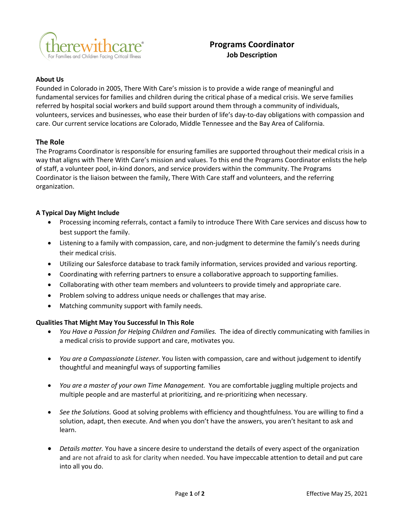

## **Programs Coordinator Job Description**

## **About Us**

Founded in Colorado in 2005, There With Care's mission is to provide a wide range of meaningful and fundamental services for families and children during the critical phase of a medical crisis. We serve families referred by hospital social workers and build support around them through a community of individuals, volunteers, services and businesses, who ease their burden of life's day-to-day obligations with compassion and care. Our current service locations are Colorado, Middle Tennessee and the Bay Area of California.

## **The Role**

The Programs Coordinator is responsible for ensuring families are supported throughout their medical crisis in a way that aligns with There With Care's mission and values. To this end the Programs Coordinator enlists the help of staff, a volunteer pool, in-kind donors, and service providers within the community. The Programs Coordinator is the liaison between the family, There With Care staff and volunteers, and the referring organization.

## **A Typical Day Might Include**

- Processing incoming referrals, contact a family to introduce There With Care services and discuss how to best support the family.
- Listening to a family with compassion, care, and non-judgment to determine the family's needs during their medical crisis.
- Utilizing our Salesforce database to track family information, services provided and various reporting.
- Coordinating with referring partners to ensure a collaborative approach to supporting families.
- Collaborating with other team members and volunteers to provide timely and appropriate care.
- Problem solving to address unique needs or challenges that may arise.
- Matching community support with family needs.

## **Qualities That Might May You Successful In This Role**

- *You Have a Passion for Helping Children and Families.* The idea of directly communicating with families in a medical crisis to provide support and care, motivates you.
- *You are a Compassionate Listener.* You listen with compassion, care and without judgement to identify thoughtful and meaningful ways of supporting families
- *You are a master of your own Time Management.* You are comfortable juggling multiple projects and multiple people and are masterful at prioritizing, and re-prioritizing when necessary.
- *See the Solutions.* Good at solving problems with efficiency and thoughtfulness. You are willing to find a solution, adapt, then execute. And when you don't have the answers, you aren't hesitant to ask and learn.
- *Details matter.* You have a sincere desire to understand the details of every aspect of the organization and are not afraid to ask for clarity when needed. You have impeccable attention to detail and put care into all you do.